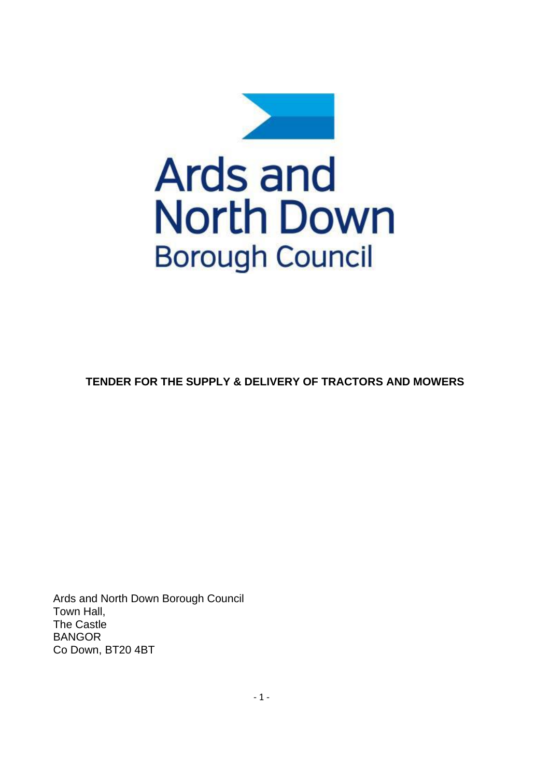

## **TENDER FOR THE SUPPLY & DELIVERY OF TRACTORS AND MOWERS**

Ards and North Down Borough Council Town Hall, The Castle BANGOR Co Down, BT20 4BT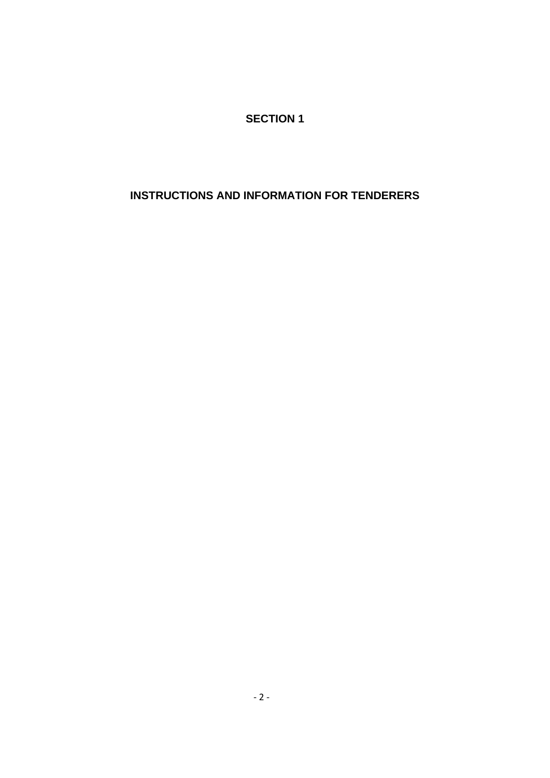**SECTION 1**

## **INSTRUCTIONS AND INFORMATION FOR TENDERERS**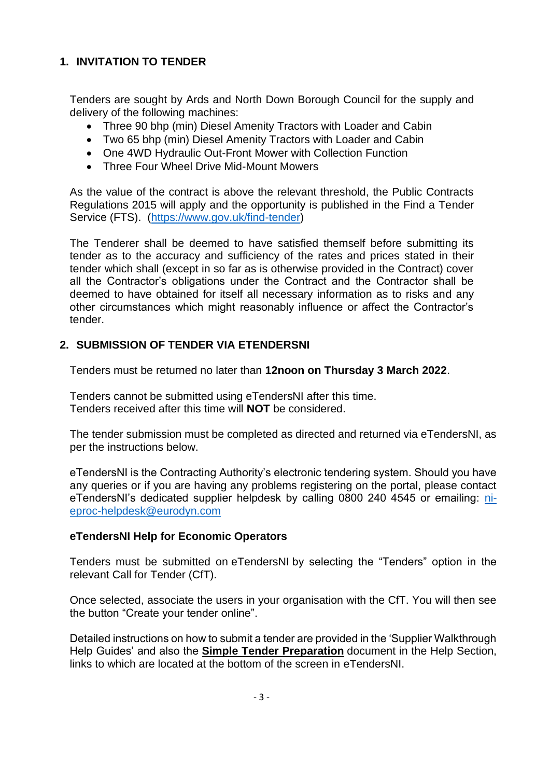## **1. INVITATION TO TENDER**

Tenders are sought by Ards and North Down Borough Council for the supply and delivery of the following machines:

- Three 90 bhp (min) Diesel Amenity Tractors with Loader and Cabin
- Two 65 bhp (min) Diesel Amenity Tractors with Loader and Cabin
- One 4WD Hydraulic Out-Front Mower with Collection Function
- Three Four Wheel Drive Mid-Mount Mowers

As the value of the contract is above the relevant threshold, the Public Contracts Regulations 2015 will apply and the opportunity is published in the Find a Tender Service (FTS). [\(https://www.gov.uk/find-tender\)](https://www.gov.uk/find-tender)

The Tenderer shall be deemed to have satisfied themself before submitting its tender as to the accuracy and sufficiency of the rates and prices stated in their tender which shall (except in so far as is otherwise provided in the Contract) cover all the Contractor's obligations under the Contract and the Contractor shall be deemed to have obtained for itself all necessary information as to risks and any other circumstances which might reasonably influence or affect the Contractor's tender.

## **2. SUBMISSION OF TENDER VIA ETENDERSNI**

Tenders must be returned no later than **12noon on Thursday 3 March 2022**.

Tenders cannot be submitted using eTendersNI after this time. Tenders received after this time will **NOT** be considered.

The tender submission must be completed as directed and returned via eTendersNI, as per the instructions below.

eTendersNI is the Contracting Authority's electronic tendering system. Should you have any queries or if you are having any problems registering on the portal, please contact eTendersNI's dedicated supplier helpdesk by calling 0800 240 4545 or emailing: [ni](mailto:ni-eproc-helpdesk@eurodyn.com)[eproc-helpdesk@eurodyn.com](mailto:ni-eproc-helpdesk@eurodyn.com)

## **eTendersNI Help for Economic Operators**

Tenders must be submitted on eTendersNI by selecting the "Tenders" option in the relevant Call for Tender (CfT).

Once selected, associate the users in your organisation with the CfT. You will then see the button "Create your tender online".

Detailed instructions on how to submit a tender are provided in the 'Supplier Walkthrough Help Guides' and also the **Simple Tender Preparation** document in the Help Section, links to which are located at the bottom of the screen in eTendersNI.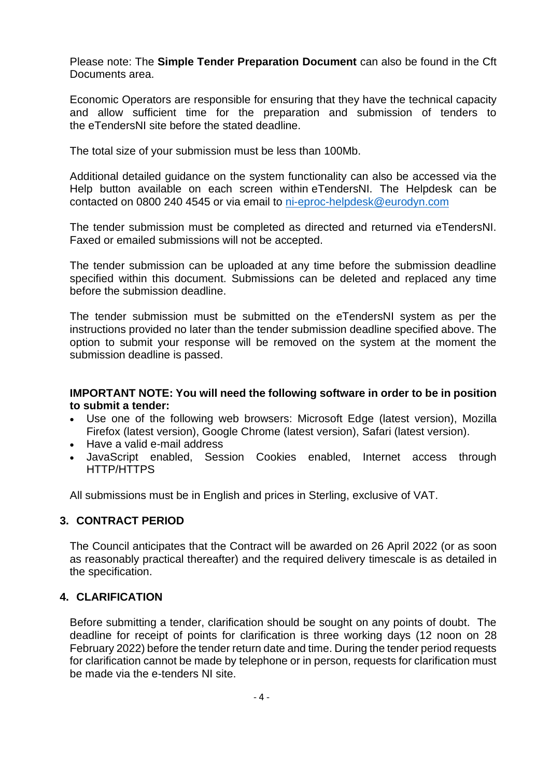Please note: The **Simple Tender Preparation Document** can also be found in the Cft Documents area.

Economic Operators are responsible for ensuring that they have the technical capacity and allow sufficient time for the preparation and submission of tenders to the eTendersNI site before the stated deadline.

The total size of your submission must be less than 100Mb.

Additional detailed guidance on the system functionality can also be accessed via the Help button available on each screen within eTendersNI. The Helpdesk can be contacted on 0800 240 4545 or via email to [ni-eproc-helpdesk@eurodyn.com](mailto:ni-eproc-helpdesk@eurodyn.com)

The tender submission must be completed as directed and returned via eTendersNI. Faxed or emailed submissions will not be accepted.

The tender submission can be uploaded at any time before the submission deadline specified within this document. Submissions can be deleted and replaced any time before the submission deadline.

The tender submission must be submitted on the eTendersNI system as per the instructions provided no later than the tender submission deadline specified above. The option to submit your response will be removed on the system at the moment the submission deadline is passed.

#### **IMPORTANT NOTE: You will need the following software in order to be in position to submit a tender:**

- Use one of the following web browsers: Microsoft Edge (latest version), Mozilla Firefox (latest version), Google Chrome (latest version), Safari (latest version).
- Have a valid e-mail address
- JavaScript enabled, Session Cookies enabled, Internet access through HTTP/HTTPS

All submissions must be in English and prices in Sterling, exclusive of VAT.

### **3. CONTRACT PERIOD**

The Council anticipates that the Contract will be awarded on 26 April 2022 (or as soon as reasonably practical thereafter) and the required delivery timescale is as detailed in the specification.

## **4. CLARIFICATION**

Before submitting a tender, clarification should be sought on any points of doubt. The deadline for receipt of points for clarification is three working days (12 noon on 28 February 2022) before the tender return date and time. During the tender period requests for clarification cannot be made by telephone or in person, requests for clarification must be made via the e-tenders NI site.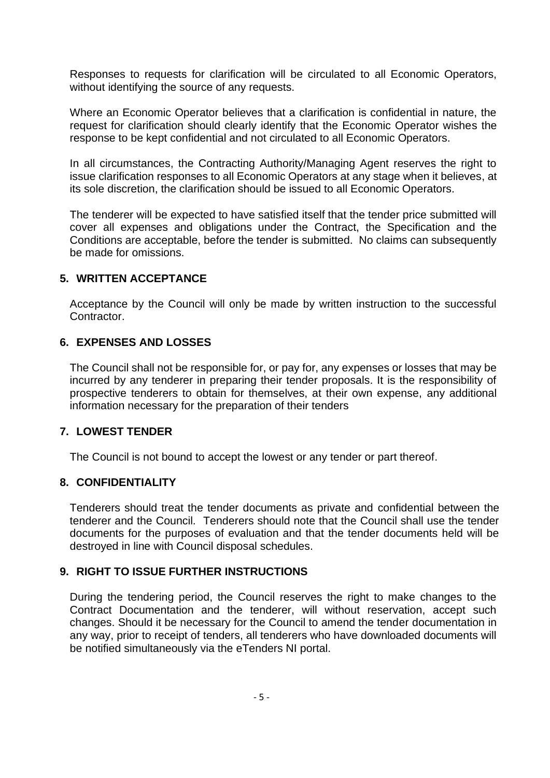Responses to requests for clarification will be circulated to all Economic Operators, without identifying the source of any requests.

Where an Economic Operator believes that a clarification is confidential in nature, the request for clarification should clearly identify that the Economic Operator wishes the response to be kept confidential and not circulated to all Economic Operators.

In all circumstances, the Contracting Authority/Managing Agent reserves the right to issue clarification responses to all Economic Operators at any stage when it believes, at its sole discretion, the clarification should be issued to all Economic Operators.

The tenderer will be expected to have satisfied itself that the tender price submitted will cover all expenses and obligations under the Contract, the Specification and the Conditions are acceptable, before the tender is submitted. No claims can subsequently be made for omissions.

#### **5. WRITTEN ACCEPTANCE**

Acceptance by the Council will only be made by written instruction to the successful Contractor.

### **6. EXPENSES AND LOSSES**

The Council shall not be responsible for, or pay for, any expenses or losses that may be incurred by any tenderer in preparing their tender proposals. It is the responsibility of prospective tenderers to obtain for themselves, at their own expense, any additional information necessary for the preparation of their tenders

#### **7. LOWEST TENDER**

The Council is not bound to accept the lowest or any tender or part thereof.

#### **8. CONFIDENTIALITY**

Tenderers should treat the tender documents as private and confidential between the tenderer and the Council. Tenderers should note that the Council shall use the tender documents for the purposes of evaluation and that the tender documents held will be destroyed in line with Council disposal schedules.

#### **9. RIGHT TO ISSUE FURTHER INSTRUCTIONS**

During the tendering period, the Council reserves the right to make changes to the Contract Documentation and the tenderer, will without reservation, accept such changes. Should it be necessary for the Council to amend the tender documentation in any way, prior to receipt of tenders, all tenderers who have downloaded documents will be notified simultaneously via the eTenders NI portal.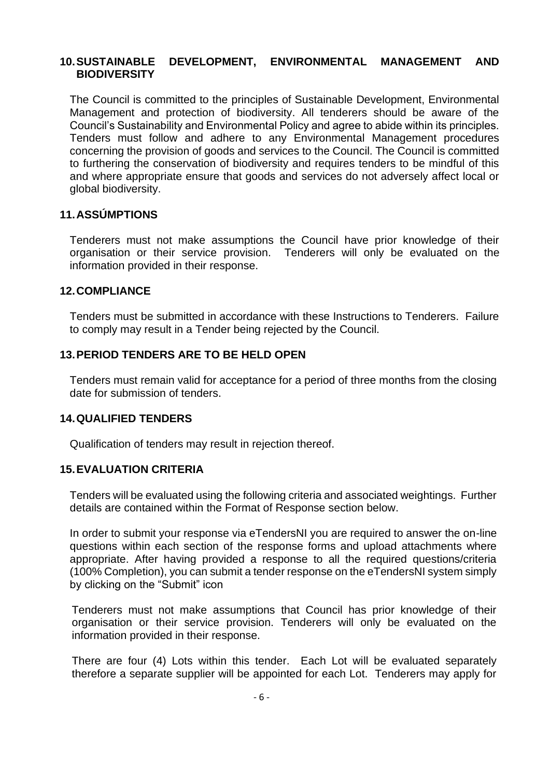#### **10.SUSTAINABLE DEVELOPMENT, ENVIRONMENTAL MANAGEMENT AND BIODIVERSITY**

The Council is committed to the principles of Sustainable Development, Environmental Management and protection of biodiversity. All tenderers should be aware of the Council's Sustainability and Environmental Policy and agree to abide within its principles. Tenders must follow and adhere to any Environmental Management procedures concerning the provision of goods and services to the Council. The Council is committed to furthering the conservation of biodiversity and requires tenders to be mindful of this and where appropriate ensure that goods and services do not adversely affect local or global biodiversity.

#### **11.ASSÚMPTIONS**

Tenderers must not make assumptions the Council have prior knowledge of their organisation or their service provision. Tenderers will only be evaluated on the information provided in their response.

#### **12.COMPLIANCE**

Tenders must be submitted in accordance with these Instructions to Tenderers. Failure to comply may result in a Tender being rejected by the Council.

#### **13.PERIOD TENDERS ARE TO BE HELD OPEN**

Tenders must remain valid for acceptance for a period of three months from the closing date for submission of tenders.

#### **14.QUALIFIED TENDERS**

Qualification of tenders may result in rejection thereof.

#### **15.EVALUATION CRITERIA**

Tenders will be evaluated using the following criteria and associated weightings. Further details are contained within the Format of Response section below.

In order to submit your response via eTendersNI you are required to answer the on-line questions within each section of the response forms and upload attachments where appropriate. After having provided a response to all the required questions/criteria (100% Completion), you can submit a tender response on the eTendersNI system simply by clicking on the "Submit" icon

Tenderers must not make assumptions that Council has prior knowledge of their organisation or their service provision. Tenderers will only be evaluated on the information provided in their response.

There are four (4) Lots within this tender. Each Lot will be evaluated separately therefore a separate supplier will be appointed for each Lot. Tenderers may apply for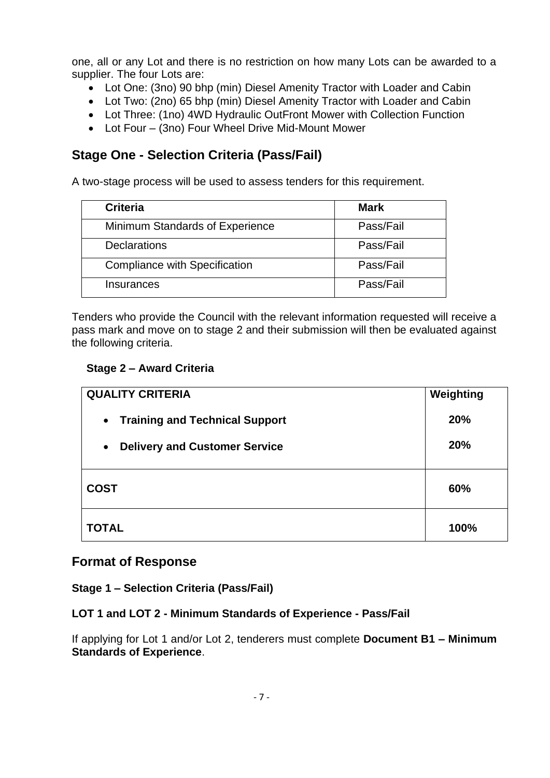one, all or any Lot and there is no restriction on how many Lots can be awarded to a supplier. The four Lots are:

- Lot One: (3no) 90 bhp (min) Diesel Amenity Tractor with Loader and Cabin
- Lot Two: (2no) 65 bhp (min) Diesel Amenity Tractor with Loader and Cabin
- Lot Three: (1no) 4WD Hydraulic OutFront Mower with Collection Function
- Lot Four (3no) Four Wheel Drive Mid-Mount Mower

## **Stage One - Selection Criteria (Pass/Fail)**

A two-stage process will be used to assess tenders for this requirement.

| <b>Criteria</b>                      | Mark      |
|--------------------------------------|-----------|
| Minimum Standards of Experience      | Pass/Fail |
| <b>Declarations</b>                  | Pass/Fail |
| <b>Compliance with Specification</b> | Pass/Fail |
| Insurances                           | Pass/Fail |

Tenders who provide the Council with the relevant information requested will receive a pass mark and move on to stage 2 and their submission will then be evaluated against the following criteria.

### **Stage 2 – Award Criteria**

| <b>QUALITY CRITERIA</b>                            | Weighting |
|----------------------------------------------------|-----------|
| <b>Training and Technical Support</b><br>$\bullet$ | 20%       |
| <b>Delivery and Customer Service</b><br>$\bullet$  | 20%       |
| <b>COST</b>                                        | 60%       |
| <b>TOTAL</b>                                       | 100%      |

## **Format of Response**

#### **Stage 1 – Selection Criteria (Pass/Fail)**

## **LOT 1 and LOT 2 - Minimum Standards of Experience - Pass/Fail**

If applying for Lot 1 and/or Lot 2, tenderers must complete **Document B1 – Minimum Standards of Experience**.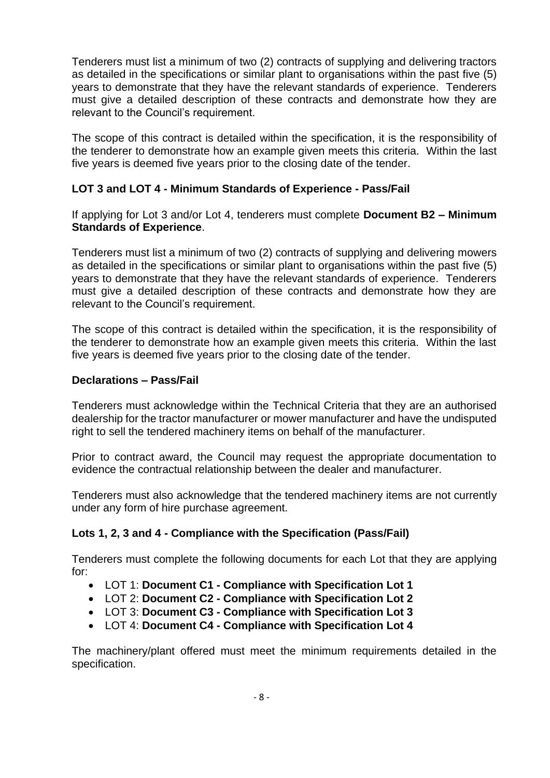Tenderers must list a minimum of two (2) contracts of supplying and delivering tractors as detailed in the specifications or similar plant to organisations within the past five (5) years to demonstrate that they have the relevant standards of experience. Tenderers must give a detailed description of these contracts and demonstrate how they are relevant to the Council's requirement.

The scope of this contract is detailed within the specification, it is the responsibility of the tenderer to demonstrate how an example given meets this criteria. Within the last five years is deemed five years prior to the closing date of the tender.

### **LOT 3 and LOT 4 - Minimum Standards of Experience - Pass/Fail**

If applying for Lot 3 and/or Lot 4, tenderers must complete **Document B2 – Minimum Standards of Experience**.

Tenderers must list a minimum of two (2) contracts of supplying and delivering mowers as detailed in the specifications or similar plant to organisations within the past five (5) years to demonstrate that they have the relevant standards of experience. Tenderers must give a detailed description of these contracts and demonstrate how they are relevant to the Council's requirement.

The scope of this contract is detailed within the specification, it is the responsibility of the tenderer to demonstrate how an example given meets this criteria. Within the last five years is deemed five years prior to the closing date of the tender.

#### **Declarations – Pass/Fail**

Tenderers must acknowledge within the Technical Criteria that they are an authorised dealership for the tractor manufacturer or mower manufacturer and have the undisputed right to sell the tendered machinery items on behalf of the manufacturer.

Prior to contract award, the Council may request the appropriate documentation to evidence the contractual relationship between the dealer and manufacturer.

Tenderers must also acknowledge that the tendered machinery items are not currently under any form of hire purchase agreement.

#### **Lots 1, 2, 3 and 4 - Compliance with the Specification (Pass/Fail)**

Tenderers must complete the following documents for each Lot that they are applying for:

- LOT 1: **Document C1 - Compliance with Specification Lot 1**
- LOT 2: **Document C2 - Compliance with Specification Lot 2**
- LOT 3: **Document C3 - Compliance with Specification Lot 3**
- LOT 4: **Document C4 - Compliance with Specification Lot 4**

The machinery/plant offered must meet the minimum requirements detailed in the specification.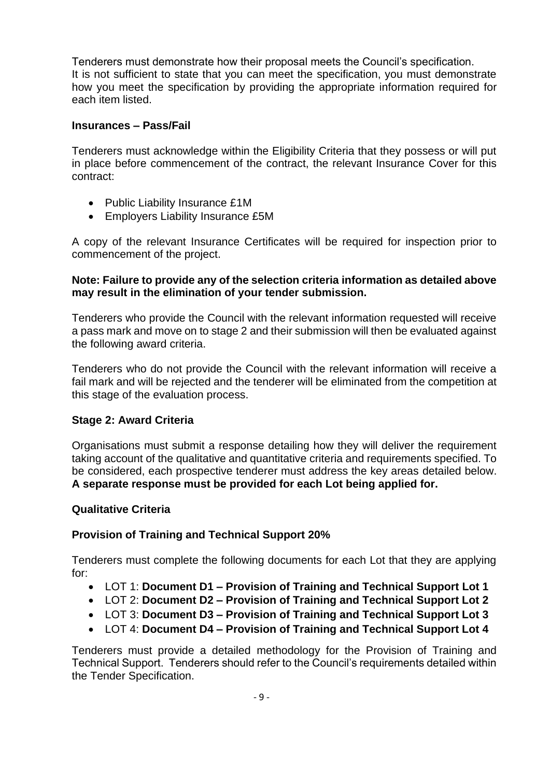Tenderers must demonstrate how their proposal meets the Council's specification. It is not sufficient to state that you can meet the specification, you must demonstrate how you meet the specification by providing the appropriate information required for each item listed.

#### **Insurances – Pass/Fail**

Tenderers must acknowledge within the Eligibility Criteria that they possess or will put in place before commencement of the contract, the relevant Insurance Cover for this contract:

- Public Liability Insurance £1M
- Employers Liability Insurance £5M

A copy of the relevant Insurance Certificates will be required for inspection prior to commencement of the project.

#### **Note: Failure to provide any of the selection criteria information as detailed above may result in the elimination of your tender submission.**

Tenderers who provide the Council with the relevant information requested will receive a pass mark and move on to stage 2 and their submission will then be evaluated against the following award criteria.

Tenderers who do not provide the Council with the relevant information will receive a fail mark and will be rejected and the tenderer will be eliminated from the competition at this stage of the evaluation process.

#### **Stage 2: Award Criteria**

Organisations must submit a response detailing how they will deliver the requirement taking account of the qualitative and quantitative criteria and requirements specified. To be considered, each prospective tenderer must address the key areas detailed below. **A separate response must be provided for each Lot being applied for.**

#### **Qualitative Criteria**

#### **Provision of Training and Technical Support 20%**

Tenderers must complete the following documents for each Lot that they are applying for:

- LOT 1: **Document D1 – Provision of Training and Technical Support Lot 1**
- LOT 2: **Document D2 – Provision of Training and Technical Support Lot 2**
- LOT 3: **Document D3 – Provision of Training and Technical Support Lot 3**
- LOT 4: **Document D4 – Provision of Training and Technical Support Lot 4**

Tenderers must provide a detailed methodology for the Provision of Training and Technical Support. Tenderers should refer to the Council's requirements detailed within the Tender Specification.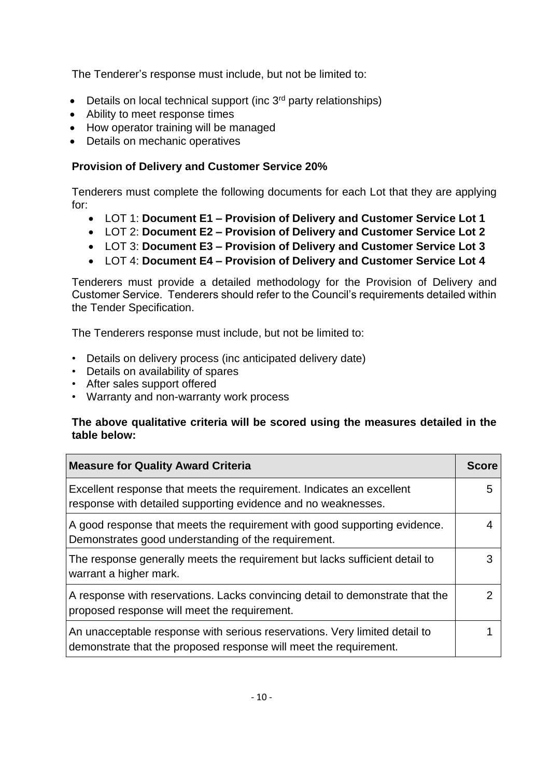The Tenderer's response must include, but not be limited to:

- Details on local technical support (inc  $3<sup>rd</sup>$  party relationships)
- Ability to meet response times
- How operator training will be managed
- Details on mechanic operatives

## **Provision of Delivery and Customer Service 20%**

Tenderers must complete the following documents for each Lot that they are applying for:

- LOT 1: **Document E1 – Provision of Delivery and Customer Service Lot 1**
- LOT 2: **Document E2 – Provision of Delivery and Customer Service Lot 2**
- LOT 3: **Document E3 – Provision of Delivery and Customer Service Lot 3**
- LOT 4: **Document E4 – Provision of Delivery and Customer Service Lot 4**

Tenderers must provide a detailed methodology for the Provision of Delivery and Customer Service. Tenderers should refer to the Council's requirements detailed within the Tender Specification.

The Tenderers response must include, but not be limited to:

- Details on delivery process (inc anticipated delivery date)
- Details on availability of spares
- After sales support offered
- Warranty and non-warranty work process

### **The above qualitative criteria will be scored using the measures detailed in the table below:**

| <b>Measure for Quality Award Criteria</b>                                                                                                       |  |
|-------------------------------------------------------------------------------------------------------------------------------------------------|--|
| Excellent response that meets the requirement. Indicates an excellent<br>response with detailed supporting evidence and no weaknesses.          |  |
| A good response that meets the requirement with good supporting evidence.<br>Demonstrates good understanding of the requirement.                |  |
| The response generally meets the requirement but lacks sufficient detail to<br>warrant a higher mark.                                           |  |
| A response with reservations. Lacks convincing detail to demonstrate that the<br>proposed response will meet the requirement.                   |  |
| An unacceptable response with serious reservations. Very limited detail to<br>demonstrate that the proposed response will meet the requirement. |  |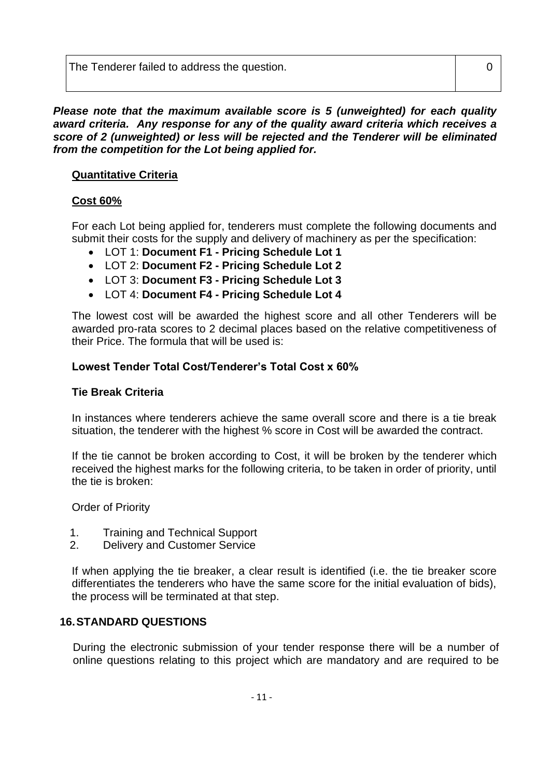The Tenderer failed to address the question. The Tenderer has a set of the U

*Please note that the maximum available score is 5 (unweighted) for each quality award criteria. Any response for any of the quality award criteria which receives a score of 2 (unweighted) or less will be rejected and the Tenderer will be eliminated from the competition for the Lot being applied for.*

## **Quantitative Criteria**

## **Cost 60%**

For each Lot being applied for, tenderers must complete the following documents and submit their costs for the supply and delivery of machinery as per the specification:

- LOT 1: **Document F1 - Pricing Schedule Lot 1**
- LOT 2: **Document F2 - Pricing Schedule Lot 2**
- LOT 3: **Document F3 - Pricing Schedule Lot 3**
- LOT 4: **Document F4 - Pricing Schedule Lot 4**

The lowest cost will be awarded the highest score and all other Tenderers will be awarded pro-rata scores to 2 decimal places based on the relative competitiveness of their Price. The formula that will be used is:

## **Lowest Tender Total Cost/Tenderer's Total Cost x 60%**

## **Tie Break Criteria**

In instances where tenderers achieve the same overall score and there is a tie break situation, the tenderer with the highest % score in Cost will be awarded the contract.

If the tie cannot be broken according to Cost, it will be broken by the tenderer which received the highest marks for the following criteria, to be taken in order of priority, until the tie is broken:

Order of Priority

- 1. Training and Technical Support
- 2. Delivery and Customer Service

If when applying the tie breaker, a clear result is identified (i.e. the tie breaker score differentiates the tenderers who have the same score for the initial evaluation of bids), the process will be terminated at that step.

## **16.STANDARD QUESTIONS**

During the electronic submission of your tender response there will be a number of online questions relating to this project which are mandatory and are required to be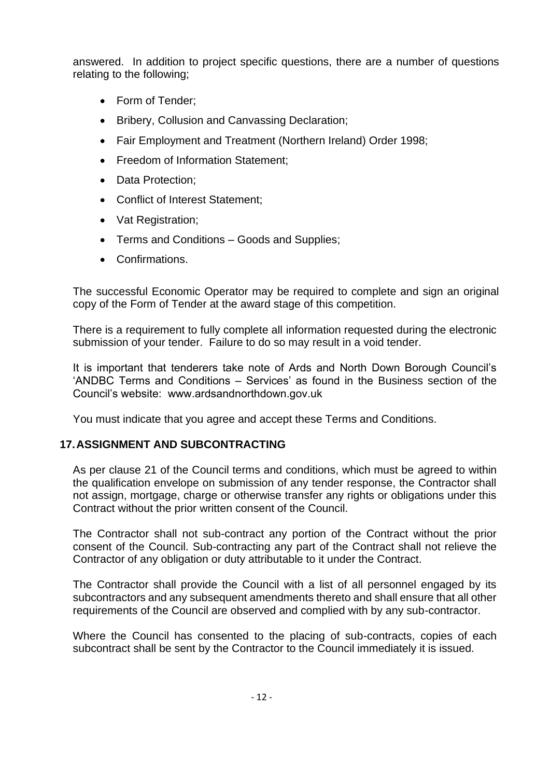answered. In addition to project specific questions, there are a number of questions relating to the following;

- Form of Tender;
- Bribery, Collusion and Canvassing Declaration;
- Fair Employment and Treatment (Northern Ireland) Order 1998;
- Freedom of Information Statement:
- Data Protection:
- Conflict of Interest Statement;
- Vat Registration;
- Terms and Conditions Goods and Supplies;
- Confirmations.

The successful Economic Operator may be required to complete and sign an original copy of the Form of Tender at the award stage of this competition.

There is a requirement to fully complete all information requested during the electronic submission of your tender. Failure to do so may result in a void tender.

It is important that tenderers take note of Ards and North Down Borough Council's 'ANDBC Terms and Conditions – Services' as found in the Business section of the Council's website: www.ardsandnorthdown.gov.uk

You must indicate that you agree and accept these Terms and Conditions.

## **17.ASSIGNMENT AND SUBCONTRACTING**

As per clause 21 of the Council terms and conditions, which must be agreed to within the qualification envelope on submission of any tender response, the Contractor shall not assign, mortgage, charge or otherwise transfer any rights or obligations under this Contract without the prior written consent of the Council.

The Contractor shall not sub-contract any portion of the Contract without the prior consent of the Council. Sub-contracting any part of the Contract shall not relieve the Contractor of any obligation or duty attributable to it under the Contract.

The Contractor shall provide the Council with a list of all personnel engaged by its subcontractors and any subsequent amendments thereto and shall ensure that all other requirements of the Council are observed and complied with by any sub-contractor.

Where the Council has consented to the placing of sub-contracts, copies of each subcontract shall be sent by the Contractor to the Council immediately it is issued.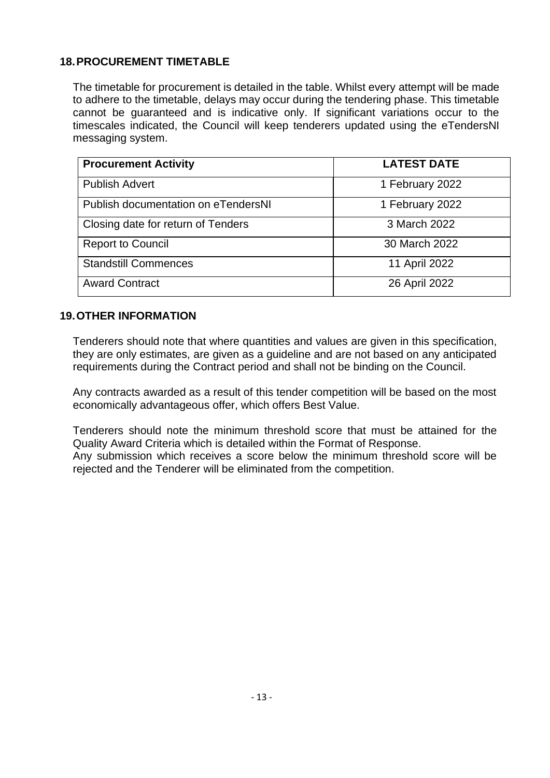## **18.PROCUREMENT TIMETABLE**

The timetable for procurement is detailed in the table. Whilst every attempt will be made to adhere to the timetable, delays may occur during the tendering phase. This timetable cannot be guaranteed and is indicative only. If significant variations occur to the timescales indicated, the Council will keep tenderers updated using the eTendersNI messaging system.

| <b>Procurement Activity</b>         | <b>LATEST DATE</b> |
|-------------------------------------|--------------------|
| <b>Publish Advert</b>               | 1 February 2022    |
| Publish documentation on eTendersNI | 1 February 2022    |
| Closing date for return of Tenders  | 3 March 2022       |
| <b>Report to Council</b>            | 30 March 2022      |
| <b>Standstill Commences</b>         | 11 April 2022      |
| <b>Award Contract</b>               | 26 April 2022      |

### **19.OTHER INFORMATION**

Tenderers should note that where quantities and values are given in this specification, they are only estimates, are given as a guideline and are not based on any anticipated requirements during the Contract period and shall not be binding on the Council.

Any contracts awarded as a result of this tender competition will be based on the most economically advantageous offer, which offers Best Value.

Tenderers should note the minimum threshold score that must be attained for the Quality Award Criteria which is detailed within the Format of Response. Any submission which receives a score below the minimum threshold score will be rejected and the Tenderer will be eliminated from the competition.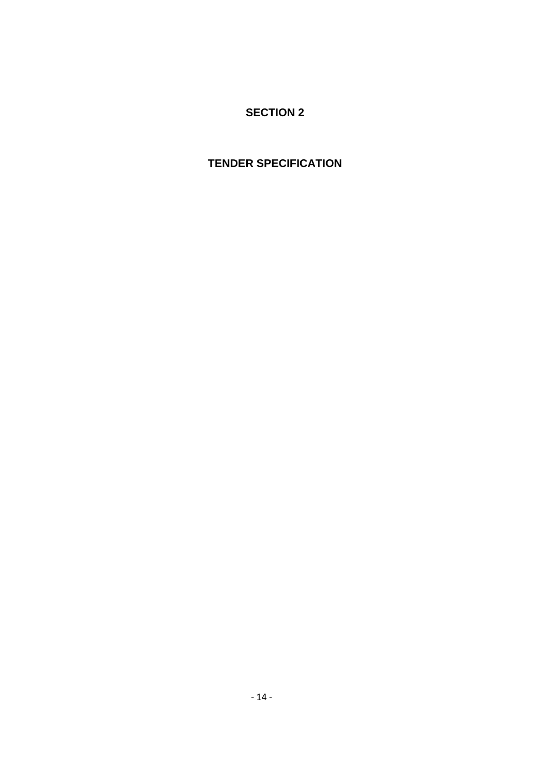## **SECTION 2**

## **TENDER SPECIFICATION**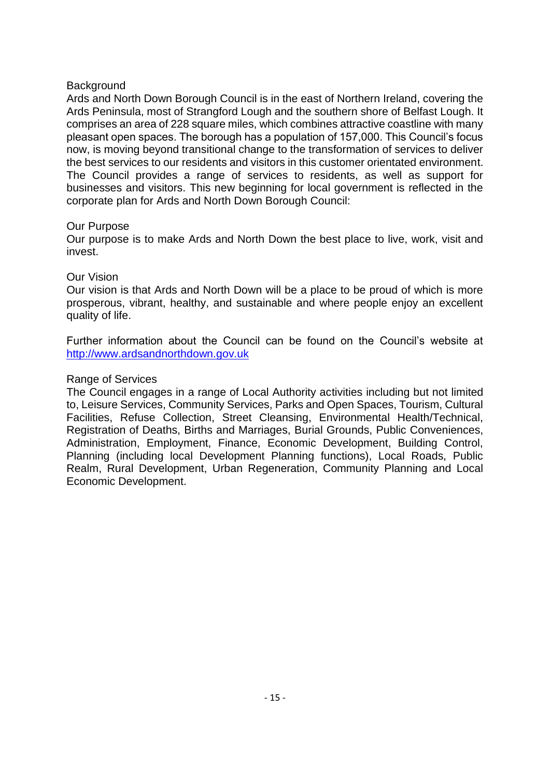#### **Background**

Ards and North Down Borough Council is in the east of Northern Ireland, covering the Ards Peninsula, most of Strangford Lough and the southern shore of Belfast Lough. It comprises an area of 228 square miles, which combines attractive coastline with many pleasant open spaces. The borough has a population of 157,000. This Council's focus now, is moving beyond transitional change to the transformation of services to deliver the best services to our residents and visitors in this customer orientated environment. The Council provides a range of services to residents, as well as support for businesses and visitors. This new beginning for local government is reflected in the corporate plan for Ards and North Down Borough Council:

#### Our Purpose

Our purpose is to make Ards and North Down the best place to live, work, visit and invest.

#### Our Vision

Our vision is that Ards and North Down will be a place to be proud of which is more prosperous, vibrant, healthy, and sustainable and where people enjoy an excellent quality of life.

Further information about the Council can be found on the Council's website at [http://www.ardsandnorthdown.gov.uk](http://www.ardsandnorthdown.gov.uk/)

#### Range of Services

The Council engages in a range of Local Authority activities including but not limited to, Leisure Services, Community Services, Parks and Open Spaces, Tourism, Cultural Facilities, Refuse Collection, Street Cleansing, Environmental Health/Technical, Registration of Deaths, Births and Marriages, Burial Grounds, Public Conveniences, Administration, Employment, Finance, Economic Development, Building Control, Planning (including local Development Planning functions), Local Roads, Public Realm, Rural Development, Urban Regeneration, Community Planning and Local Economic Development.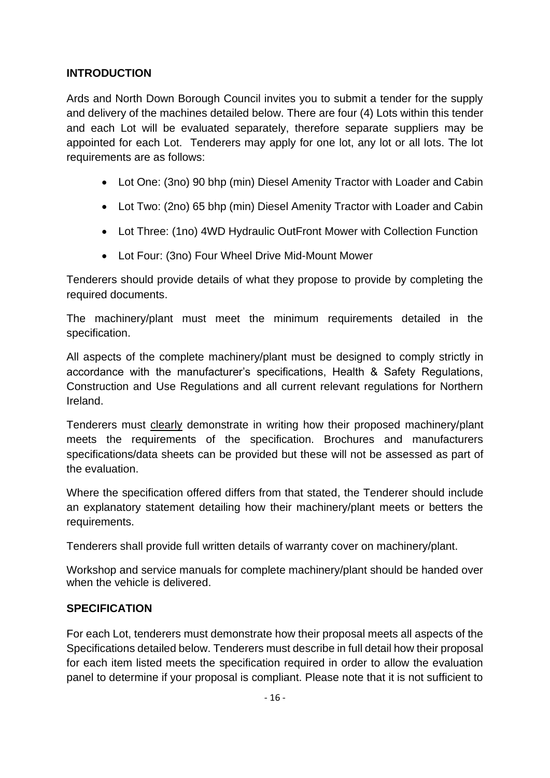## **INTRODUCTION**

Ards and North Down Borough Council invites you to submit a tender for the supply and delivery of the machines detailed below. There are four (4) Lots within this tender and each Lot will be evaluated separately, therefore separate suppliers may be appointed for each Lot. Tenderers may apply for one lot, any lot or all lots. The lot requirements are as follows:

- Lot One: (3no) 90 bhp (min) Diesel Amenity Tractor with Loader and Cabin
- Lot Two: (2no) 65 bhp (min) Diesel Amenity Tractor with Loader and Cabin
- Lot Three: (1no) 4WD Hydraulic OutFront Mower with Collection Function
- Lot Four: (3no) Four Wheel Drive Mid-Mount Mower

Tenderers should provide details of what they propose to provide by completing the required documents.

The machinery/plant must meet the minimum requirements detailed in the specification.

All aspects of the complete machinery/plant must be designed to comply strictly in accordance with the manufacturer's specifications, Health & Safety Regulations, Construction and Use Regulations and all current relevant regulations for Northern Ireland.

Tenderers must clearly demonstrate in writing how their proposed machinery/plant meets the requirements of the specification. Brochures and manufacturers specifications/data sheets can be provided but these will not be assessed as part of the evaluation.

Where the specification offered differs from that stated, the Tenderer should include an explanatory statement detailing how their machinery/plant meets or betters the requirements.

Tenderers shall provide full written details of warranty cover on machinery/plant.

Workshop and service manuals for complete machinery/plant should be handed over when the vehicle is delivered.

## **SPECIFICATION**

For each Lot, tenderers must demonstrate how their proposal meets all aspects of the Specifications detailed below. Tenderers must describe in full detail how their proposal for each item listed meets the specification required in order to allow the evaluation panel to determine if your proposal is compliant. Please note that it is not sufficient to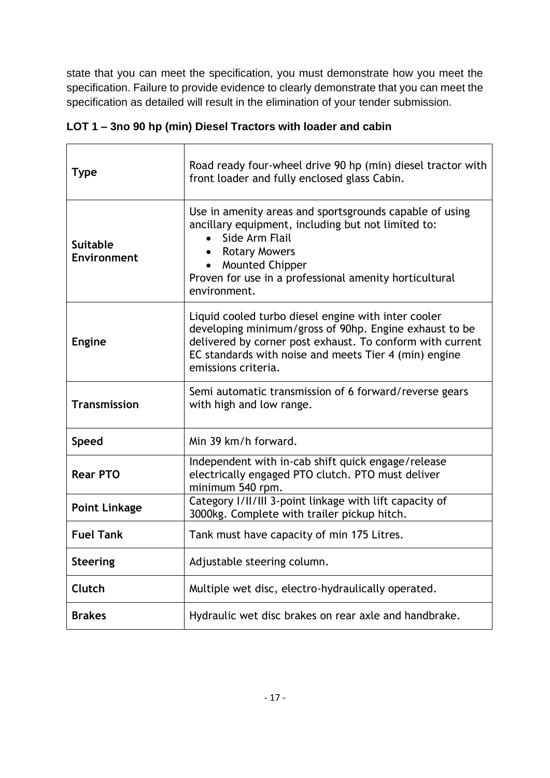state that you can meet the specification, you must demonstrate how you meet the specification. Failure to provide evidence to clearly demonstrate that you can meet the specification as detailed will result in the elimination of your tender submission.

| <b>Type</b>                           | Road ready four-wheel drive 90 hp (min) diesel tractor with<br>front loader and fully enclosed glass Cabin.                                                                                                                                                                           |
|---------------------------------------|---------------------------------------------------------------------------------------------------------------------------------------------------------------------------------------------------------------------------------------------------------------------------------------|
| <b>Suitable</b><br><b>Environment</b> | Use in amenity areas and sportsgrounds capable of using<br>ancillary equipment, including but not limited to:<br>Side Arm Flail<br>$\bullet$<br><b>Rotary Mowers</b><br>$\bullet$<br><b>Mounted Chipper</b><br>Proven for use in a professional amenity horticultural<br>environment. |
| <b>Engine</b>                         | Liquid cooled turbo diesel engine with inter cooler<br>developing minimum/gross of 90hp. Engine exhaust to be<br>delivered by corner post exhaust. To conform with current<br>EC standards with noise and meets Tier 4 (min) engine<br>emissions criteria.                            |
| <b>Transmission</b>                   | Semi automatic transmission of 6 forward/reverse gears<br>with high and low range.                                                                                                                                                                                                    |
| <b>Speed</b>                          | Min 39 km/h forward.                                                                                                                                                                                                                                                                  |
| <b>Rear PTO</b>                       | Independent with in-cab shift quick engage/release<br>electrically engaged PTO clutch. PTO must deliver<br>minimum 540 rpm.                                                                                                                                                           |
| <b>Point Linkage</b>                  | Category I/II/III 3-point linkage with lift capacity of<br>3000kg. Complete with trailer pickup hitch.                                                                                                                                                                                |
| <b>Fuel Tank</b>                      | Tank must have capacity of min 175 Litres.                                                                                                                                                                                                                                            |
| <b>Steering</b>                       | Adjustable steering column.                                                                                                                                                                                                                                                           |
| Clutch                                | Multiple wet disc, electro-hydraulically operated.                                                                                                                                                                                                                                    |
| <b>Brakes</b>                         | Hydraulic wet disc brakes on rear axle and handbrake.                                                                                                                                                                                                                                 |

## **LOT 1 – 3no 90 hp (min) Diesel Tractors with loader and cabin**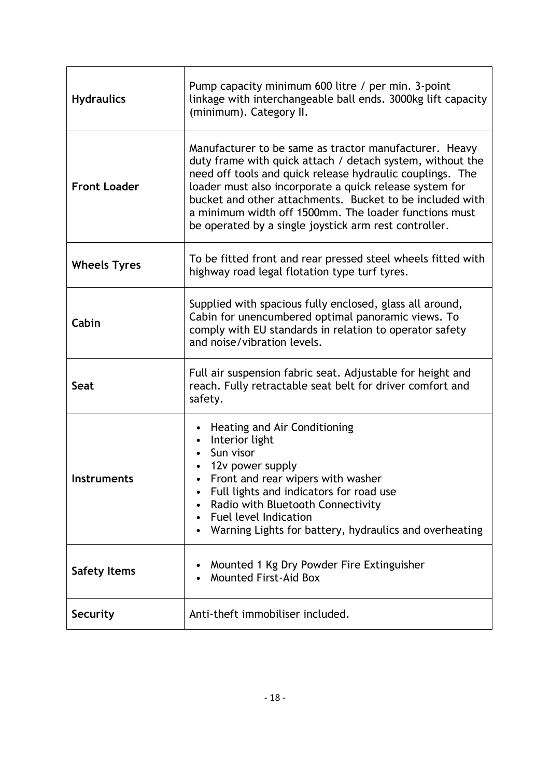| <b>Hydraulics</b>   | Pump capacity minimum 600 litre / per min. 3-point<br>linkage with interchangeable ball ends. 3000kg lift capacity<br>(minimum). Category II.                                                                                                                                                                                                                                                                             |
|---------------------|---------------------------------------------------------------------------------------------------------------------------------------------------------------------------------------------------------------------------------------------------------------------------------------------------------------------------------------------------------------------------------------------------------------------------|
| <b>Front Loader</b> | Manufacturer to be same as tractor manufacturer. Heavy<br>duty frame with quick attach / detach system, without the<br>need off tools and quick release hydraulic couplings. The<br>loader must also incorporate a quick release system for<br>bucket and other attachments. Bucket to be included with<br>a minimum width off 1500mm. The loader functions must<br>be operated by a single joystick arm rest controller. |
| <b>Wheels Tyres</b> | To be fitted front and rear pressed steel wheels fitted with<br>highway road legal flotation type turf tyres.                                                                                                                                                                                                                                                                                                             |
| Cabin               | Supplied with spacious fully enclosed, glass all around,<br>Cabin for unencumbered optimal panoramic views. To<br>comply with EU standards in relation to operator safety<br>and noise/vibration levels.                                                                                                                                                                                                                  |
| Seat                | Full air suspension fabric seat. Adjustable for height and<br>reach. Fully retractable seat belt for driver comfort and<br>safety.                                                                                                                                                                                                                                                                                        |
| Instruments         | Heating and Air Conditioning<br>Interior light<br>Sun visor<br>12v power supply<br>Front and rear wipers with washer<br>Full lights and indicators for road use<br>٠<br>Radio with Bluetooth Connectivity<br><b>Fuel level Indication</b><br>$\bullet$<br>Warning Lights for battery, hydraulics and overheating                                                                                                          |
| <b>Safety Items</b> | Mounted 1 Kg Dry Powder Fire Extinguisher<br>Mounted First-Aid Box                                                                                                                                                                                                                                                                                                                                                        |
| <b>Security</b>     | Anti-theft immobiliser included.                                                                                                                                                                                                                                                                                                                                                                                          |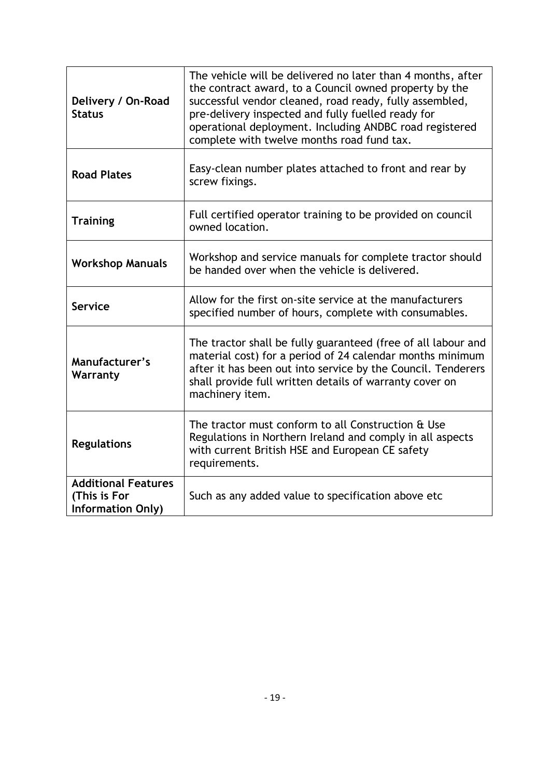| Delivery / On-Road<br><b>Status</b>                                    | The vehicle will be delivered no later than 4 months, after<br>the contract award, to a Council owned property by the<br>successful vendor cleaned, road ready, fully assembled,<br>pre-delivery inspected and fully fuelled ready for<br>operational deployment. Including ANDBC road registered<br>complete with twelve months road fund tax. |
|------------------------------------------------------------------------|-------------------------------------------------------------------------------------------------------------------------------------------------------------------------------------------------------------------------------------------------------------------------------------------------------------------------------------------------|
| <b>Road Plates</b>                                                     | Easy-clean number plates attached to front and rear by<br>screw fixings.                                                                                                                                                                                                                                                                        |
| <b>Training</b>                                                        | Full certified operator training to be provided on council<br>owned location.                                                                                                                                                                                                                                                                   |
| <b>Workshop Manuals</b>                                                | Workshop and service manuals for complete tractor should<br>be handed over when the vehicle is delivered.                                                                                                                                                                                                                                       |
| <b>Service</b>                                                         | Allow for the first on-site service at the manufacturers<br>specified number of hours, complete with consumables.                                                                                                                                                                                                                               |
| Manufacturer's<br>Warranty                                             | The tractor shall be fully guaranteed (free of all labour and<br>material cost) for a period of 24 calendar months minimum<br>after it has been out into service by the Council. Tenderers<br>shall provide full written details of warranty cover on<br>machinery item.                                                                        |
| <b>Regulations</b>                                                     | The tractor must conform to all Construction & Use<br>Regulations in Northern Ireland and comply in all aspects<br>with current British HSE and European CE safety<br>requirements.                                                                                                                                                             |
| <b>Additional Features</b><br>(This is For<br><b>Information Only)</b> | Such as any added value to specification above etc                                                                                                                                                                                                                                                                                              |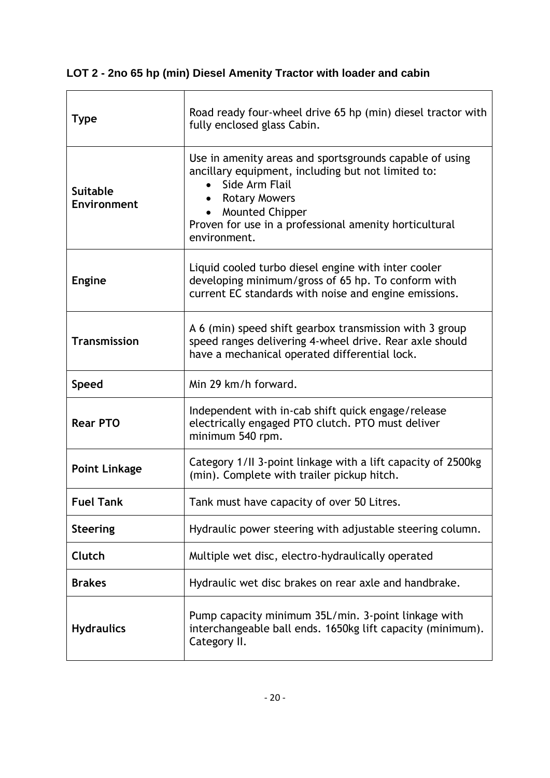| LOT 2 - 2no 65 hp (min) Diesel Amenity Tractor with loader and cabin |  |
|----------------------------------------------------------------------|--|
|----------------------------------------------------------------------|--|

 $\overline{\phantom{0}}$ 

| <b>Type</b>                    | Road ready four-wheel drive 65 hp (min) diesel tractor with<br>fully enclosed glass Cabin.                                                                                                                                                                  |
|--------------------------------|-------------------------------------------------------------------------------------------------------------------------------------------------------------------------------------------------------------------------------------------------------------|
| <b>Suitable</b><br>Environment | Use in amenity areas and sportsgrounds capable of using<br>ancillary equipment, including but not limited to:<br>Side Arm Flail<br><b>Rotary Mowers</b><br><b>Mounted Chipper</b><br>Proven for use in a professional amenity horticultural<br>environment. |
| <b>Engine</b>                  | Liquid cooled turbo diesel engine with inter cooler<br>developing minimum/gross of 65 hp. To conform with<br>current EC standards with noise and engine emissions.                                                                                          |
| <b>Transmission</b>            | A 6 (min) speed shift gearbox transmission with 3 group<br>speed ranges delivering 4-wheel drive. Rear axle should<br>have a mechanical operated differential lock.                                                                                         |
| <b>Speed</b>                   | Min 29 km/h forward.                                                                                                                                                                                                                                        |
| <b>Rear PTO</b>                | Independent with in-cab shift quick engage/release<br>electrically engaged PTO clutch. PTO must deliver<br>minimum 540 rpm.                                                                                                                                 |
| <b>Point Linkage</b>           | Category 1/II 3-point linkage with a lift capacity of 2500kg<br>(min). Complete with trailer pickup hitch.                                                                                                                                                  |
| <b>Fuel Tank</b>               | Tank must have capacity of over 50 Litres.                                                                                                                                                                                                                  |
| <b>Steering</b>                | Hydraulic power steering with adjustable steering column.                                                                                                                                                                                                   |
| Clutch                         | Multiple wet disc, electro-hydraulically operated                                                                                                                                                                                                           |
| <b>Brakes</b>                  | Hydraulic wet disc brakes on rear axle and handbrake.                                                                                                                                                                                                       |
| <b>Hydraulics</b>              | Pump capacity minimum 35L/min. 3-point linkage with<br>interchangeable ball ends. 1650kg lift capacity (minimum).<br>Category II.                                                                                                                           |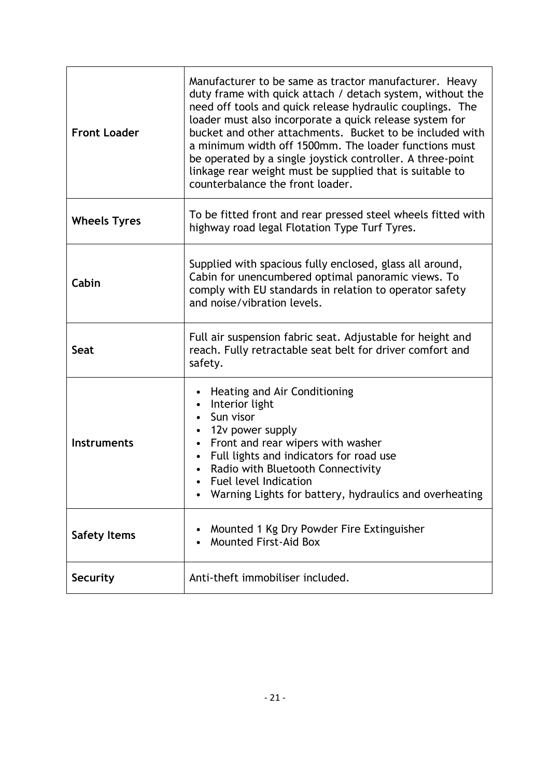| <b>Front Loader</b> | Manufacturer to be same as tractor manufacturer. Heavy<br>duty frame with quick attach / detach system, without the<br>need off tools and quick release hydraulic couplings. The<br>loader must also incorporate a quick release system for<br>bucket and other attachments. Bucket to be included with<br>a minimum width off 1500mm. The loader functions must<br>be operated by a single joystick controller. A three-point<br>linkage rear weight must be supplied that is suitable to<br>counterbalance the front loader. |
|---------------------|--------------------------------------------------------------------------------------------------------------------------------------------------------------------------------------------------------------------------------------------------------------------------------------------------------------------------------------------------------------------------------------------------------------------------------------------------------------------------------------------------------------------------------|
| <b>Wheels Tyres</b> | To be fitted front and rear pressed steel wheels fitted with<br>highway road legal Flotation Type Turf Tyres.                                                                                                                                                                                                                                                                                                                                                                                                                  |
| Cabin               | Supplied with spacious fully enclosed, glass all around,<br>Cabin for unencumbered optimal panoramic views. To<br>comply with EU standards in relation to operator safety<br>and noise/vibration levels.                                                                                                                                                                                                                                                                                                                       |
| Seat                | Full air suspension fabric seat. Adjustable for height and<br>reach. Fully retractable seat belt for driver comfort and<br>safety.                                                                                                                                                                                                                                                                                                                                                                                             |
| <b>Instruments</b>  | Heating and Air Conditioning<br>Interior light<br>Sun visor<br>12v power supply<br>$\bullet$<br>Front and rear wipers with washer<br>$\bullet$<br>Full lights and indicators for road use<br>Radio with Bluetooth Connectivity<br>Fuel level Indication<br>Warning Lights for battery, hydraulics and overheating                                                                                                                                                                                                              |
| <b>Safety Items</b> | Mounted 1 Kg Dry Powder Fire Extinguisher<br><b>Mounted First-Aid Box</b>                                                                                                                                                                                                                                                                                                                                                                                                                                                      |
| <b>Security</b>     | Anti-theft immobiliser included.                                                                                                                                                                                                                                                                                                                                                                                                                                                                                               |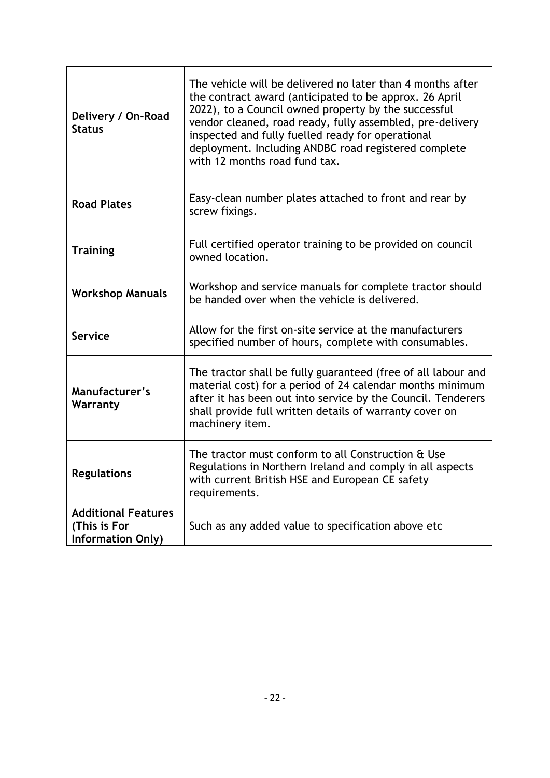| Delivery / On-Road<br><b>Status</b>                                    | The vehicle will be delivered no later than 4 months after<br>the contract award (anticipated to be approx. 26 April<br>2022), to a Council owned property by the successful<br>vendor cleaned, road ready, fully assembled, pre-delivery<br>inspected and fully fuelled ready for operational<br>deployment. Including ANDBC road registered complete<br>with 12 months road fund tax. |
|------------------------------------------------------------------------|-----------------------------------------------------------------------------------------------------------------------------------------------------------------------------------------------------------------------------------------------------------------------------------------------------------------------------------------------------------------------------------------|
| <b>Road Plates</b>                                                     | Easy-clean number plates attached to front and rear by<br>screw fixings.                                                                                                                                                                                                                                                                                                                |
| <b>Training</b>                                                        | Full certified operator training to be provided on council<br>owned location.                                                                                                                                                                                                                                                                                                           |
| <b>Workshop Manuals</b>                                                | Workshop and service manuals for complete tractor should<br>be handed over when the vehicle is delivered.                                                                                                                                                                                                                                                                               |
| <b>Service</b>                                                         | Allow for the first on-site service at the manufacturers<br>specified number of hours, complete with consumables.                                                                                                                                                                                                                                                                       |
| Manufacturer's<br>Warranty                                             | The tractor shall be fully guaranteed (free of all labour and<br>material cost) for a period of 24 calendar months minimum<br>after it has been out into service by the Council. Tenderers<br>shall provide full written details of warranty cover on<br>machinery item.                                                                                                                |
| <b>Regulations</b>                                                     | The tractor must conform to all Construction & Use<br>Regulations in Northern Ireland and comply in all aspects<br>with current British HSE and European CE safety<br>requirements.                                                                                                                                                                                                     |
| <b>Additional Features</b><br>(This is For<br><b>Information Only)</b> | Such as any added value to specification above etc                                                                                                                                                                                                                                                                                                                                      |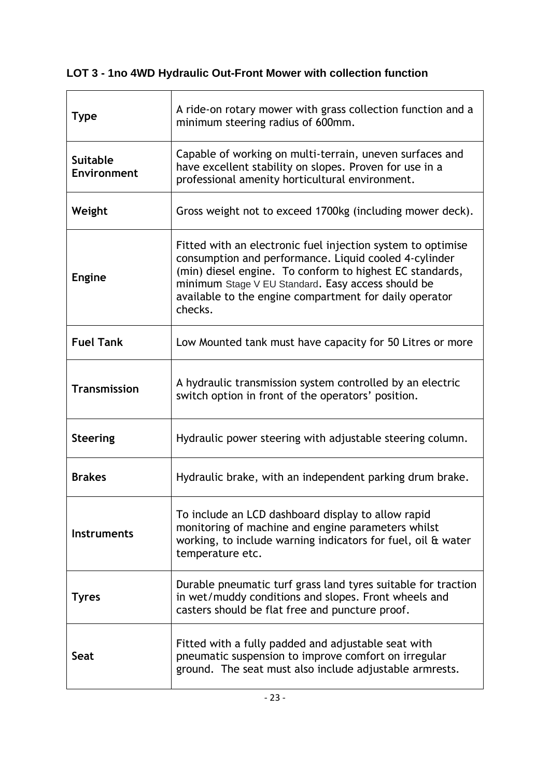# **LOT 3 - 1no 4WD Hydraulic Out-Front Mower with collection function**

| <b>Type</b>                    | A ride-on rotary mower with grass collection function and a<br>minimum steering radius of 600mm.                                                                                                                                                                                                            |
|--------------------------------|-------------------------------------------------------------------------------------------------------------------------------------------------------------------------------------------------------------------------------------------------------------------------------------------------------------|
| <b>Suitable</b><br>Environment | Capable of working on multi-terrain, uneven surfaces and<br>have excellent stability on slopes. Proven for use in a<br>professional amenity horticultural environment.                                                                                                                                      |
| Weight                         | Gross weight not to exceed 1700kg (including mower deck).                                                                                                                                                                                                                                                   |
| <b>Engine</b>                  | Fitted with an electronic fuel injection system to optimise<br>consumption and performance. Liquid cooled 4-cylinder<br>(min) diesel engine. To conform to highest EC standards,<br>minimum Stage V EU Standard. Easy access should be<br>available to the engine compartment for daily operator<br>checks. |
| <b>Fuel Tank</b>               | Low Mounted tank must have capacity for 50 Litres or more                                                                                                                                                                                                                                                   |
| <b>Transmission</b>            | A hydraulic transmission system controlled by an electric<br>switch option in front of the operators' position.                                                                                                                                                                                             |
| <b>Steering</b>                | Hydraulic power steering with adjustable steering column.                                                                                                                                                                                                                                                   |
| <b>Brakes</b>                  | Hydraulic brake, with an independent parking drum brake.                                                                                                                                                                                                                                                    |
| <b>Instruments</b>             | To include an LCD dashboard display to allow rapid<br>monitoring of machine and engine parameters whilst<br>working, to include warning indicators for fuel, oil & water<br>temperature etc.                                                                                                                |
| <b>Tyres</b>                   | Durable pneumatic turf grass land tyres suitable for traction<br>in wet/muddy conditions and slopes. Front wheels and<br>casters should be flat free and puncture proof.                                                                                                                                    |
| Seat                           | Fitted with a fully padded and adjustable seat with<br>pneumatic suspension to improve comfort on irregular<br>ground. The seat must also include adjustable armrests.                                                                                                                                      |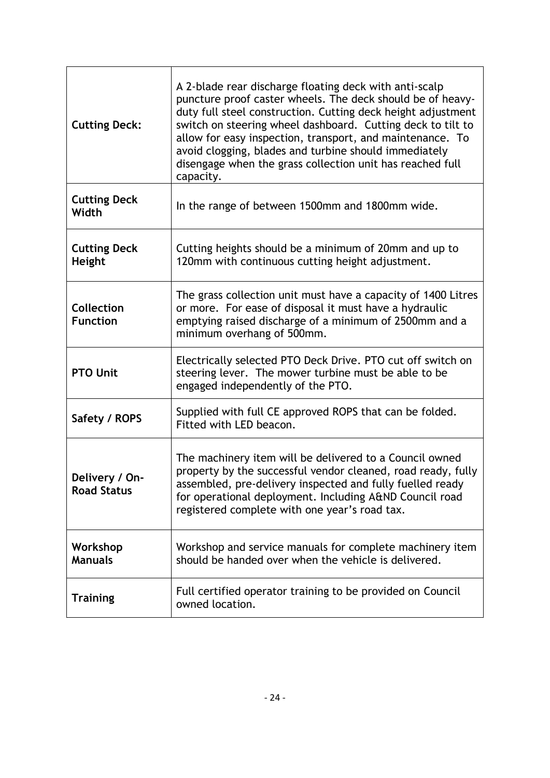| <b>Cutting Deck:</b>                 | A 2-blade rear discharge floating deck with anti-scalp<br>puncture proof caster wheels. The deck should be of heavy-<br>duty full steel construction. Cutting deck height adjustment<br>switch on steering wheel dashboard. Cutting deck to tilt to<br>allow for easy inspection, transport, and maintenance. To<br>avoid clogging, blades and turbine should immediately<br>disengage when the grass collection unit has reached full<br>capacity. |
|--------------------------------------|-----------------------------------------------------------------------------------------------------------------------------------------------------------------------------------------------------------------------------------------------------------------------------------------------------------------------------------------------------------------------------------------------------------------------------------------------------|
| <b>Cutting Deck</b><br>Width         | In the range of between 1500mm and 1800mm wide.                                                                                                                                                                                                                                                                                                                                                                                                     |
| <b>Cutting Deck</b><br><b>Height</b> | Cutting heights should be a minimum of 20mm and up to<br>120mm with continuous cutting height adjustment.                                                                                                                                                                                                                                                                                                                                           |
| <b>Collection</b><br><b>Function</b> | The grass collection unit must have a capacity of 1400 Litres<br>or more. For ease of disposal it must have a hydraulic<br>emptying raised discharge of a minimum of 2500mm and a<br>minimum overhang of 500mm.                                                                                                                                                                                                                                     |
| <b>PTO Unit</b>                      | Electrically selected PTO Deck Drive. PTO cut off switch on<br>steering lever. The mower turbine must be able to be<br>engaged independently of the PTO.                                                                                                                                                                                                                                                                                            |
| Safety / ROPS                        | Supplied with full CE approved ROPS that can be folded.<br>Fitted with LED beacon.                                                                                                                                                                                                                                                                                                                                                                  |
| Delivery / On-<br><b>Road Status</b> | The machinery item will be delivered to a Council owned<br>property by the successful vendor cleaned, road ready, fully<br>assembled, pre-delivery inspected and fully fuelled ready<br>for operational deployment. Including A&ND Council road<br>registered complete with one year's road tax.                                                                                                                                                    |
| Workshop<br><b>Manuals</b>           | Workshop and service manuals for complete machinery item<br>should be handed over when the vehicle is delivered.                                                                                                                                                                                                                                                                                                                                    |
| <b>Training</b>                      | Full certified operator training to be provided on Council<br>owned location.                                                                                                                                                                                                                                                                                                                                                                       |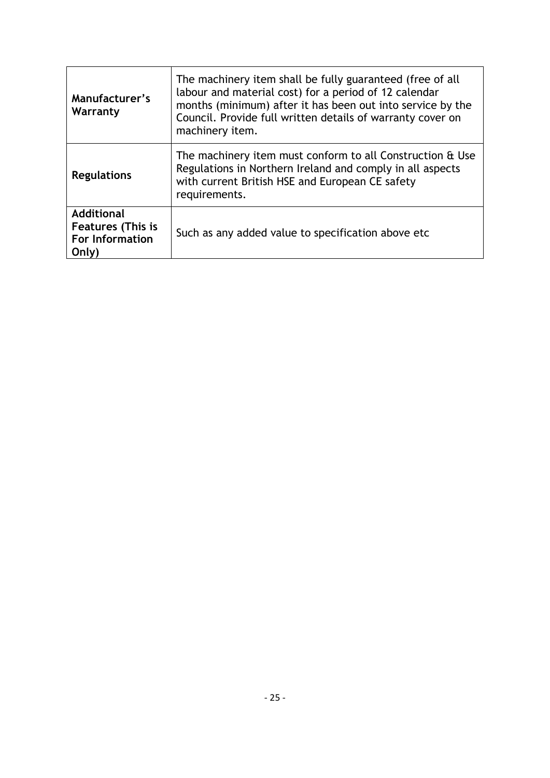| Manufacturer's<br>Warranty                                                | The machinery item shall be fully guaranteed (free of all<br>labour and material cost) for a period of 12 calendar<br>months (minimum) after it has been out into service by the<br>Council. Provide full written details of warranty cover on<br>machinery item. |
|---------------------------------------------------------------------------|-------------------------------------------------------------------------------------------------------------------------------------------------------------------------------------------------------------------------------------------------------------------|
| <b>Regulations</b>                                                        | The machinery item must conform to all Construction & Use<br>Regulations in Northern Ireland and comply in all aspects<br>with current British HSE and European CE safety<br>requirements.                                                                        |
| <b>Additional</b><br><b>Features (This is</b><br>For Information<br>Only) | Such as any added value to specification above etc.                                                                                                                                                                                                               |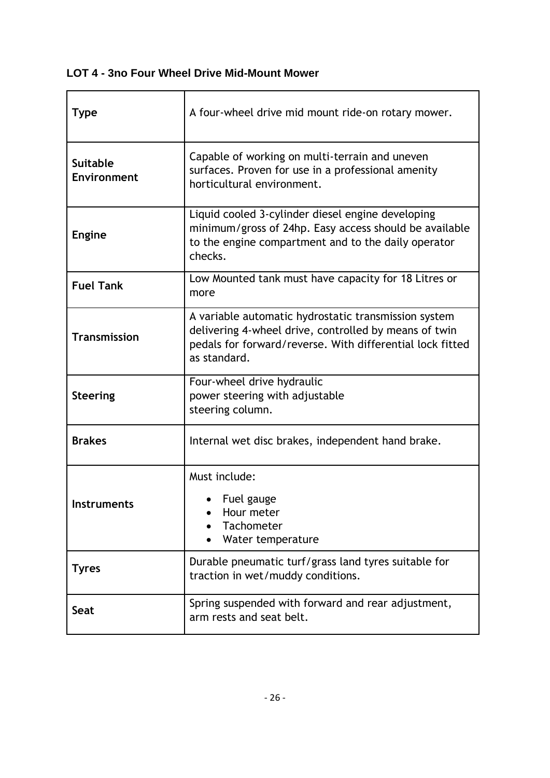## **LOT 4 - 3no Four Wheel Drive Mid-Mount Mower**

| <b>Type</b>                    | A four-wheel drive mid mount ride-on rotary mower.                                                                                                                                         |
|--------------------------------|--------------------------------------------------------------------------------------------------------------------------------------------------------------------------------------------|
| <b>Suitable</b><br>Environment | Capable of working on multi-terrain and uneven<br>surfaces. Proven for use in a professional amenity<br>horticultural environment.                                                         |
| <b>Engine</b>                  | Liquid cooled 3-cylinder diesel engine developing<br>minimum/gross of 24hp. Easy access should be available<br>to the engine compartment and to the daily operator<br>checks.              |
| <b>Fuel Tank</b>               | Low Mounted tank must have capacity for 18 Litres or<br>more                                                                                                                               |
| <b>Transmission</b>            | A variable automatic hydrostatic transmission system<br>delivering 4-wheel drive, controlled by means of twin<br>pedals for forward/reverse. With differential lock fitted<br>as standard. |
| <b>Steering</b>                | Four-wheel drive hydraulic<br>power steering with adjustable<br>steering column.                                                                                                           |
| <b>Brakes</b>                  | Internal wet disc brakes, independent hand brake.                                                                                                                                          |
| <b>Instruments</b>             | Must include:<br>Fuel gauge<br>Hour meter<br>Tachometer<br>Water temperature                                                                                                               |
| <b>Tyres</b>                   | Durable pneumatic turf/grass land tyres suitable for<br>traction in wet/muddy conditions.                                                                                                  |
| <b>Seat</b>                    | Spring suspended with forward and rear adjustment,<br>arm rests and seat belt.                                                                                                             |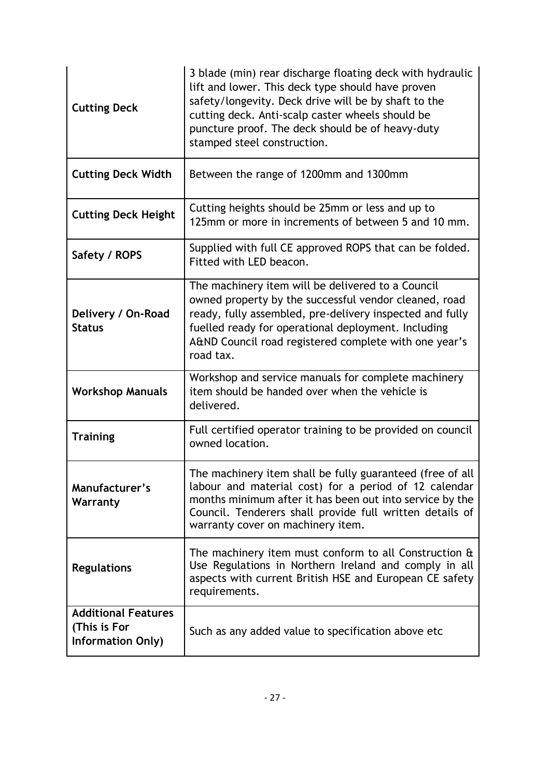| <b>Cutting Deck</b>                                                    | 3 blade (min) rear discharge floating deck with hydraulic<br>lift and lower. This deck type should have proven<br>safety/longevity. Deck drive will be by shaft to the<br>cutting deck. Anti-scalp caster wheels should be<br>puncture proof. The deck should be of heavy-duty<br>stamped steel construction. |
|------------------------------------------------------------------------|---------------------------------------------------------------------------------------------------------------------------------------------------------------------------------------------------------------------------------------------------------------------------------------------------------------|
| <b>Cutting Deck Width</b>                                              | Between the range of 1200mm and 1300mm                                                                                                                                                                                                                                                                        |
| <b>Cutting Deck Height</b>                                             | Cutting heights should be 25mm or less and up to<br>125mm or more in increments of between 5 and 10 mm.                                                                                                                                                                                                       |
| Safety / ROPS                                                          | Supplied with full CE approved ROPS that can be folded.<br>Fitted with LED beacon.                                                                                                                                                                                                                            |
| Delivery / On-Road<br><b>Status</b>                                    | The machinery item will be delivered to a Council<br>owned property by the successful vendor cleaned, road<br>ready, fully assembled, pre-delivery inspected and fully<br>fuelled ready for operational deployment. Including<br>A&ND Council road registered complete with one year's<br>road tax.           |
| <b>Workshop Manuals</b>                                                | Workshop and service manuals for complete machinery<br>item should be handed over when the vehicle is<br>delivered.                                                                                                                                                                                           |
| <b>Training</b>                                                        | Full certified operator training to be provided on council<br>owned location.                                                                                                                                                                                                                                 |
| Manufacturer's<br>Warranty                                             | The machinery item shall be fully guaranteed (free of all<br>labour and material cost) for a period of 12 calendar<br>months minimum after it has been out into service by the<br>Council. Tenderers shall provide full written details of<br>warranty cover on machinery item.                               |
| <b>Regulations</b>                                                     | The machinery item must conform to all Construction $\hat{a}$<br>Use Regulations in Northern Ireland and comply in all<br>aspects with current British HSE and European CE safety<br>requirements.                                                                                                            |
| <b>Additional Features</b><br>(This is For<br><b>Information Only)</b> | Such as any added value to specification above etc.                                                                                                                                                                                                                                                           |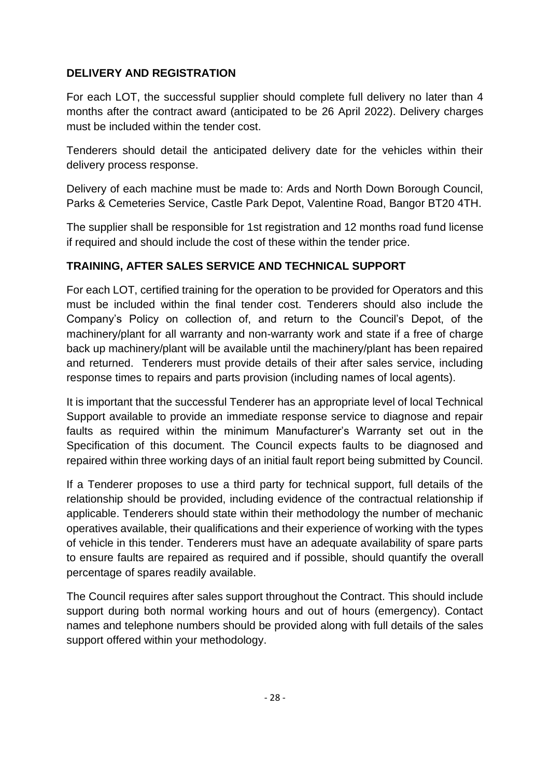## **DELIVERY AND REGISTRATION**

For each LOT, the successful supplier should complete full delivery no later than 4 months after the contract award (anticipated to be 26 April 2022). Delivery charges must be included within the tender cost.

Tenderers should detail the anticipated delivery date for the vehicles within their delivery process response.

Delivery of each machine must be made to: Ards and North Down Borough Council, Parks & Cemeteries Service, Castle Park Depot, Valentine Road, Bangor BT20 4TH.

The supplier shall be responsible for 1st registration and 12 months road fund license if required and should include the cost of these within the tender price.

## **TRAINING, AFTER SALES SERVICE AND TECHNICAL SUPPORT**

For each LOT, certified training for the operation to be provided for Operators and this must be included within the final tender cost. Tenderers should also include the Company's Policy on collection of, and return to the Council's Depot, of the machinery/plant for all warranty and non-warranty work and state if a free of charge back up machinery/plant will be available until the machinery/plant has been repaired and returned. Tenderers must provide details of their after sales service, including response times to repairs and parts provision (including names of local agents).

It is important that the successful Tenderer has an appropriate level of local Technical Support available to provide an immediate response service to diagnose and repair faults as required within the minimum Manufacturer's Warranty set out in the Specification of this document. The Council expects faults to be diagnosed and repaired within three working days of an initial fault report being submitted by Council.

If a Tenderer proposes to use a third party for technical support, full details of the relationship should be provided, including evidence of the contractual relationship if applicable. Tenderers should state within their methodology the number of mechanic operatives available, their qualifications and their experience of working with the types of vehicle in this tender. Tenderers must have an adequate availability of spare parts to ensure faults are repaired as required and if possible, should quantify the overall percentage of spares readily available.

The Council requires after sales support throughout the Contract. This should include support during both normal working hours and out of hours (emergency). Contact names and telephone numbers should be provided along with full details of the sales support offered within your methodology.